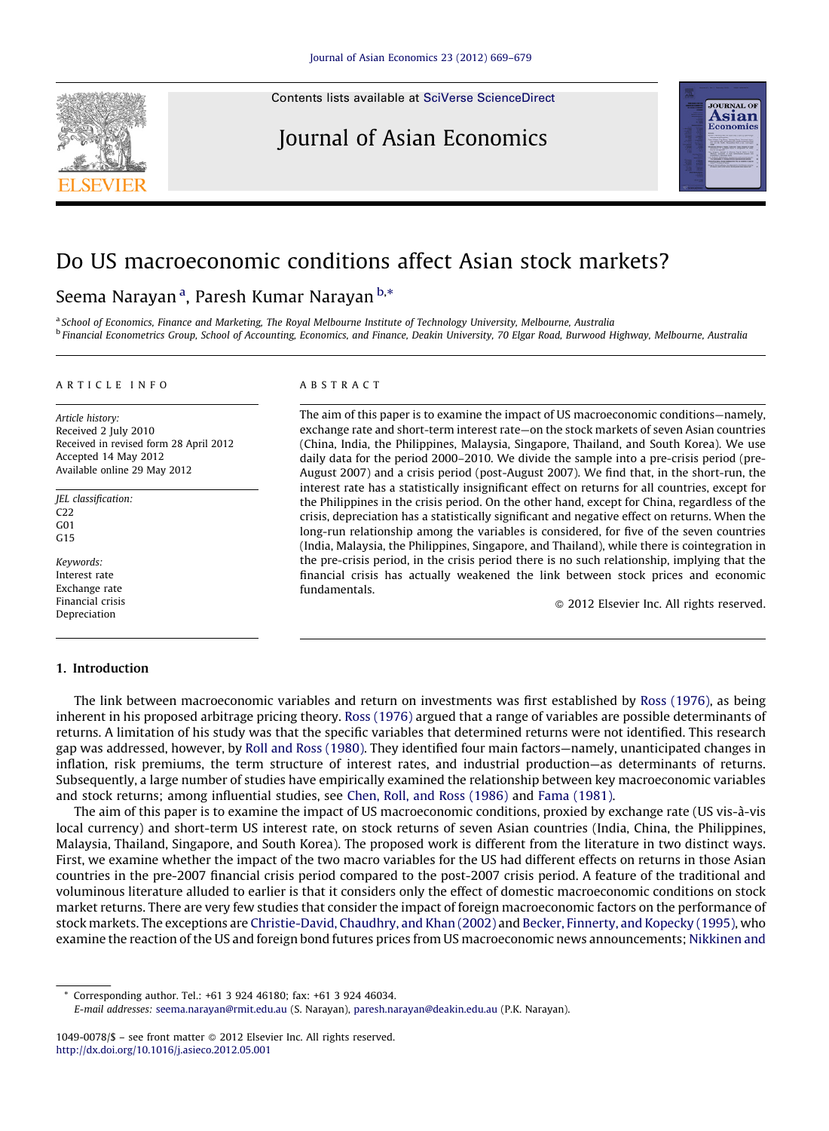Contents lists available at SciVerse [ScienceDirect](http://www.sciencedirect.com/science/journal/10490078)

## Journal of Asian Economics



# Do US macroeconomic conditions affect Asian stock markets?

### Seema Narayan <sup>a</sup>, Paresh Kumar Narayan <sup>b,</sup>\*

a School of Economics. Finance and Marketing. The Royal Melbourne Institute of Technology University, Melbourne, Australia <sup>b</sup> Financial Econometrics Group, School of Accounting, Economics, and Finance, Deakin University, 70 Elgar Road, Burwood Highway, Melbourne, Australia

#### A R T I C L E I N F O

Article history: Received 2 July 2010 Received in revised form 28 April 2012 Accepted 14 May 2012 Available online 29 May 2012

JEL classification: C22 G01 G15

Keywords: Interest rate Exchange rate Financial crisis Depreciation

#### 1. Introduction

#### A B S T R A C T

The aim of this paper is to examine the impact of US macroeconomic conditions—namely, exchange rate and short-term interest rate—on the stock markets of seven Asian countries (China, India, the Philippines, Malaysia, Singapore, Thailand, and South Korea). We use daily data for the period 2000–2010. We divide the sample into a pre-crisis period (pre-August 2007) and a crisis period (post-August 2007). We find that, in the short-run, the interest rate has a statistically insignificant effect on returns for all countries, except for the Philippines in the crisis period. On the other hand, except for China, regardless of the crisis, depreciation has a statistically significant and negative effect on returns. When the long-run relationship among the variables is considered, for five of the seven countries (India, Malaysia, the Philippines, Singapore, and Thailand), while there is cointegration in the pre-crisis period, in the crisis period there is no such relationship, implying that the financial crisis has actually weakened the link between stock prices and economic fundamentals.

- 2012 Elsevier Inc. All rights reserved.

The link between macroeconomic variables and return on investments was first established by Ross [\(1976\)](#page--1-0), as being inherent in his proposed arbitrage pricing theory. Ross [\(1976\)](#page--1-0) argued that a range of variables are possible determinants of returns. A limitation of his study was that the specific variables that determined returns were not identified. This research gap was addressed, however, by Roll and Ross [\(1980\)](#page--1-0). They identified four main factors—namely, unanticipated changes in inflation, risk premiums, the term structure of interest rates, and industrial production—as determinants of returns. Subsequently, a large number of studies have empirically examined the relationship between key macroeconomic variables and stock returns; among influential studies, see Chen, Roll, and Ross [\(1986\)](#page--1-0) and Fama [\(1981\)](#page--1-0).

The aim of this paper is to examine the impact of US macroeconomic conditions, proxied by exchange rate (US vis-à-vis local currency) and short-term US interest rate, on stock returns of seven Asian countries (India, China, the Philippines, Malaysia, Thailand, Singapore, and South Korea). The proposed work is different from the literature in two distinct ways. First, we examine whether the impact of the two macro variables for the US had different effects on returns in those Asian countries in the pre-2007 financial crisis period compared to the post-2007 crisis period. A feature of the traditional and voluminous literature alluded to earlier is that it considers only the effect of domestic macroeconomic conditions on stock market returns. There are very few studies that consider the impact of foreign macroeconomic factors on the performance of stock markets. The exceptions are [Christie-David,](#page--1-0) Chaudhry, and Khan (2002) and Becker, [Finnerty,](#page--1-0) and Kopecky (1995), who examine the reaction ofthe US and foreign bond futures prices from US macroeconomic news announcements; [Nikkinen](#page--1-0) and

Corresponding author. Tel.: +61 3 924 46180; fax: +61 3 924 46034.

E-mail addresses: [seema.narayan@rmit.edu.au](mailto:seema.narayan@rmit.edu.au) (S. Narayan), [paresh.narayan@deakin.edu.au](mailto:paresh.narayan@deakin.edu.au) (P.K. Narayan).

<sup>1049-0078/\$ –</sup> see front matter © 2012 Elsevier Inc. All rights reserved. <http://dx.doi.org/10.1016/j.asieco.2012.05.001>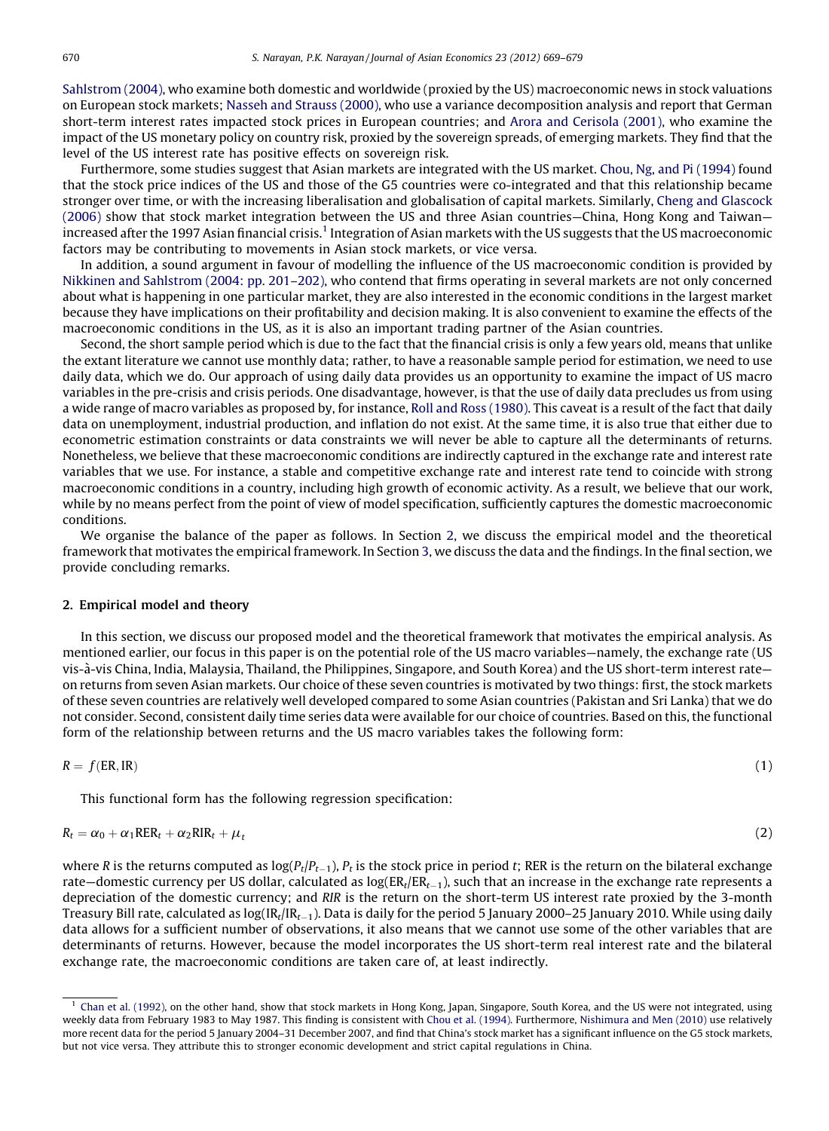[Sahlstrom](#page--1-0) (2004), who examine both domestic and worldwide (proxied by the US) macroeconomic news in stock valuations on European stock markets; Nasseh and [Strauss](#page--1-0) (2000), who use a variance decomposition analysis and report that German short-term interest rates impacted stock prices in European countries; and Arora and [Cerisola](#page--1-0) (2001), who examine the impact of the US monetary policy on country risk, proxied by the sovereign spreads, of emerging markets. They find that the level of the US interest rate has positive effects on sovereign risk.

Furthermore, some studies suggest that Asian markets are integrated with the US market. Chou, Ng, and Pi [\(1994\)](#page--1-0) found that the stock price indices of the US and those of the G5 countries were co-integrated and that this relationship became stronger over time, or with the increasing liberalisation and globalisation of capital markets. Similarly, Cheng and [Glascock](#page--1-0) [\(2006\)](#page--1-0) show that stock market integration between the US and three Asian countries—China, Hong Kong and Taiwan increased after the 1997 Asian financial crisis.<sup>1</sup> Integration of Asian markets with the US suggests that the US macroeconomic factors may be contributing to movements in Asian stock markets, or vice versa.

In addition, a sound argument in favour of modelling the influence of the US macroeconomic condition is provided by Nikkinen and [Sahlstrom](#page--1-0) (2004: pp. 201–202), who contend that firms operating in several markets are not only concerned about what is happening in one particular market, they are also interested in the economic conditions in the largest market because they have implications on their profitability and decision making. It is also convenient to examine the effects of the macroeconomic conditions in the US, as it is also an important trading partner of the Asian countries.

Second, the short sample period which is due to the fact that the financial crisis is only a few years old, means that unlike the extant literature we cannot use monthly data; rather, to have a reasonable sample period for estimation, we need to use daily data, which we do. Our approach of using daily data provides us an opportunity to examine the impact of US macro variables in the pre-crisis and crisis periods. One disadvantage, however, is that the use of daily data precludes us from using a wide range of macro variables as proposed by, for instance, Roll and Ross [\(1980\).](#page--1-0) This caveat is a result of the fact that daily data on unemployment, industrial production, and inflation do not exist. At the same time, it is also true that either due to econometric estimation constraints or data constraints we will never be able to capture all the determinants of returns. Nonetheless, we believe that these macroeconomic conditions are indirectly captured in the exchange rate and interest rate variables that we use. For instance, a stable and competitive exchange rate and interest rate tend to coincide with strong macroeconomic conditions in a country, including high growth of economic activity. As a result, we believe that our work, while by no means perfect from the point of view of model specification, sufficiently captures the domestic macroeconomic conditions.

We organise the balance of the paper as follows. In Section 2, we discuss the empirical model and the theoretical framework that motivates the empirical framework. In Section [3,](#page--1-0) we discuss the data and the findings. In the final section, we provide concluding remarks.

#### 2. Empirical model and theory

In this section, we discuss our proposed model and the theoretical framework that motivates the empirical analysis. As mentioned earlier, our focus in this paper is on the potential role of the US macro variables—namely, the exchange rate (US vis-à-vis China, India, Malaysia, Thailand, the Philippines, Singapore, and South Korea) and the US short-term interest rate on returns from seven Asian markets. Our choice of these seven countries is motivated by two things: first, the stock markets of these seven countries are relatively well developed compared to some Asian countries (Pakistan and Sri Lanka) that we do not consider. Second, consistent daily time series data were available for our choice of countries. Based on this, the functional form of the relationship between returns and the US macro variables takes the following form:

 $R = f(ER, IR)$  (1)

This functional form has the following regression specification:

$$
R_t = \alpha_0 + \alpha_1 \text{RER}_t + \alpha_2 \text{RIR}_t + \mu_t \tag{2}
$$

where R is the returns computed as log(Pt|Pt-1), Pt is the stock price in period t; RER is the return on the bilateral exchange rate—domestic currency per US dollar, calculated as log(ER $_{t}($ ER $_{t-1}$ ), such that an increase in the exchange rate represents a depreciation of the domestic currency; and RIR is the return on the short-term US interest rate proxied by the 3-month Treasury Bill rate, calculated as log(IR $_t$ /IR $_{t-1}$ ). Data is daily for the period 5 January 2000–25 January 2010. While using daily data allows for a sufficient number of observations, it also means that we cannot use some of the other variables that are determinants of returns. However, because the model incorporates the US short-term real interest rate and the bilateral exchange rate, the macroeconomic conditions are taken care of, at least indirectly.

<sup>1</sup> Chan et al. [\(1992\)](#page--1-0), on the other hand, show that stock markets in Hong Kong, Japan, Singapore, South Korea, and the US were not integrated, using weekly data from February 1983 to May 1987. This finding is consistent with Chou et al. [\(1994\)](#page--1-0). Furthermore, [Nishimura](#page--1-0) and Men (2010) use relatively more recent data for the period 5 January 2004–31 December 2007, and find that China's stock market has a significant influence on the G5 stock markets, but not vice versa. They attribute this to stronger economic development and strict capital regulations in China.